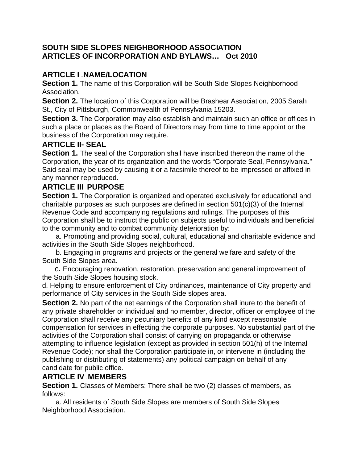## **SOUTH SIDE SLOPES NEIGHBORHOOD ASSOCIATION ARTICLES OF INCORPORATION AND BYLAWS… Oct 2010**

# **ARTICLE I** – **NAME/LOCATION**

**Section 1.** The name of this Corporation will be South Side Slopes Neighborhood Association.

**Section 2.** The location of this Corporation will be Brashear Association, 2005 Sarah St., City of Pittsburgh, Commonwealth of Pennsylvania 15203.

**Section 3.** The Corporation may also establish and maintain such an office or offices in such a place or places as the Board of Directors may from time to time appoint or the business of the Corporation may require.

# **ARTICLE II- SEAL**

**Section 1.** The seal of the Corporation shall have inscribed thereon the name of the Corporation, the year of its organization and the words "Corporate Seal, Pennsylvania." Said seal may be used by causing it or a facsimile thereof to be impressed or affixed in any manner reproduced.

## **ARTICLE III PURPOSE**

**Section 1.** The Corporation is organized and operated exclusively for educational and charitable purposes as such purposes are defined in section 501(c)(3) of the Internal Revenue Code and accompanying regulations and rulings. The purposes of this Corporation shall be to instruct the public on subjects useful to individuals and beneficial to the community and to combat community deterioration by:

 a. Promoting and providing social, cultural, educational and charitable evidence and activities in the South Side Slopes neighborhood.

 b. Engaging in programs and projects or the general welfare and safety of the South Side Slopes area.

c**.** Encouraging renovation, restoration, preservation and general improvement of the South Side Slopes housing stock.

d. Helping to ensure enforcement of City ordinances, maintenance of City property and performance of City services in the South Side slopes area.

**Section 2.** No part of the net earnings of the Corporation shall inure to the benefit of any private shareholder or individual and no member, director, officer or employee of the Corporation shall receive any pecuniary benefits of any kind except reasonable compensation for services in effecting the corporate purposes. No substantial part of the activities of the Corporation shall consist of carrying on propaganda or otherwise attempting to influence legislation (except as provided in section 501(h) of the Internal Revenue Code); nor shall the Corporation participate in, or intervene in (including the publishing or distributing of statements) any political campaign on behalf of any candidate for public office.

# **ARTICLE IV MEMBERS**

**Section 1.** Classes of Members: There shall be two (2) classes of members, as follows:

 a. All residents of South Side Slopes are members of South Side Slopes Neighborhood Association.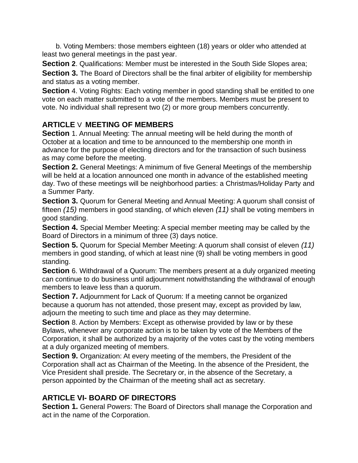b. Voting Members: those members eighteen (18) years or older who attended at least two general meetings in the past year.

**Section 2**. Qualifications: Member must be interested in the South Side Slopes area;

**Section 3.** The Board of Directors shall be the final arbiter of eligibility for membership and status as a voting member.

**Section** 4. Voting Rights: Each voting member in good standing shall be entitled to one vote on each matter submitted to a vote of the members. Members must be present to vote. No individual shall represent two (2) or more group members concurrently.

# **ARTICLE** V - **MEETING OF MEMBERS**

**Section** 1. Annual Meeting: The annual meeting will be held during the month of October at a location and time to be announced to the membership one month in advance for the purpose of electing directors and for the transaction of such business as may come before the meeting.

**Section 2.** General Meetings: A minimum of five General Meetings of the membership will be held at a location announced one month in advance of the established meeting day. Two of these meetings will be neighborhood parties: a Christmas/Holiday Party and a Summer Party.

**Section 3.** Quorum for General Meeting and Annual Meeting: A quorum shall consist of fifteen (15) members in good standing, of which eleven (11) shall be voting members in good standing.

**Section 4.** Special Member Meeting: A special member meeting may be called by the Board of Directors in a minimum of three (3) days notice.

**Section 5.** Quorum for Special Member Meeting: A quorum shall consist of eleven (11) members in good standing, of which at least nine (9) shall be voting members in good standing.

**Section** 6. Withdrawal of a Quorum: The members present at a duly organized meeting can continue to do business until adjournment notwithstanding the withdrawal of enough members to leave less than a quorum.

**Section 7.** Adjournment for Lack of Quorum: If a meeting cannot be organized because a quorum has not attended, those present may, except as provided by law, adjourn the meeting to such time and place as they may determine.

**Section** 8. Action by Members: Except as otherwise provided by law or by these Bylaws, whenever any corporate action is to be taken by vote of the Members of the Corporation, it shall be authorized by a majority of the votes cast by the voting members at a duly organized meeting of members.

**Section 9.** Organization: At every meeting of the members, the President of the Corporation shall act as Chairman of the Meeting. In the absence of the President, the Vice President shall preside. The Secretary or, in the absence of the Secretary, a person appointed by the Chairman of the meeting shall act as secretary.

# **ARTICLE VI- BOARD OF DIRECTORS**

**Section 1.** General Powers: The Board of Directors shall manage the Corporation and act in the name of the Corporation.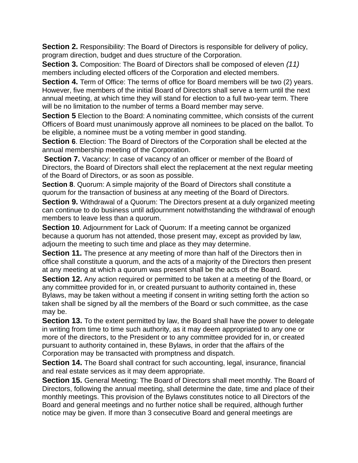**Section 2.** Responsibility: The Board of Directors is responsible for delivery of policy, program direction, budget and dues structure of the Corporation.

**Section 3.** Composition: The Board of Directors shall be composed of eleven (11) members including elected officers of the Corporation and elected members.

**Section 4.** Term of Office: The terms of office for Board members will be two (2) years. However, five members of the initial Board of Directors shall serve a term until the next annual meeting, at which time they will stand for election to a full two-year term. There will be no limitation to the number of terms a Board member may serve.

**Section 5** Election to the Board: A nominating committee, which consists of the current Officers of Board must unanimously approve all nominees to be placed on the ballot. To be eligible, a nominee must be a voting member in good standing.

**Section 6**. Election: The Board of Directors of the Corporation shall be elected at the annual membership meeting of the Corporation.

**Section 7.** Vacancy: In case of vacancy of an officer or member of the Board of Directors, the Board of Directors shall elect the replacement at the next regular meeting of the Board of Directors, or as soon as possible.

**Section 8.** Quorum: A simple majority of the Board of Directors shall constitute a quorum for the transaction of business at any meeting of the Board of Directors.

**Section 9.** Withdrawal of a Quorum: The Directors present at a duly organized meeting can continue to do business until adjournment notwithstanding the withdrawal of enough members to leave less than a quorum.

**Section 10**. Adjournment for Lack of Quorum: If a meeting cannot be organized because a quorum has not attended, those present may, except as provided by law, adjourn the meeting to such time and place as they may determine.

**Section 11.** The presence at any meeting of more than half of the Directors then in office shall constitute a quorum, and the acts of a majority of the Directors then present at any meeting at which a quorum was present shall be the acts of the Board.

**Section 12.** Any action required or permitted to be taken at a meeting of the Board, or any committee provided for in, or created pursuant to authority contained in, these Bylaws, may be taken without a meeting if consent in writing setting forth the action so taken shall be signed by all the members of the Board or such committee, as the case may be.

**Section 13.** To the extent permitted by law, the Board shall have the power to delegate in writing from time to time such authority, as it may deem appropriated to any one or more of the directors, to the President or to any committee provided for in, or created pursuant to authority contained in, these Bylaws, in order that the affairs of the Corporation may be transacted with promptness and dispatch.

**Section 14.** The Board shall contract for such accounting, legal, insurance, financial and real estate services as it may deem appropriate.

**Section 15.** General Meeting: The Board of Directors shall meet monthly. The Board of Directors, following the annual meeting, shall determine the date, time and place of their monthly meetings. This provision of the Bylaws constitutes notice to all Directors of the Board and general meetings and no further notice shall be required, although further notice may be given. If more than 3 consecutive Board and general meetings are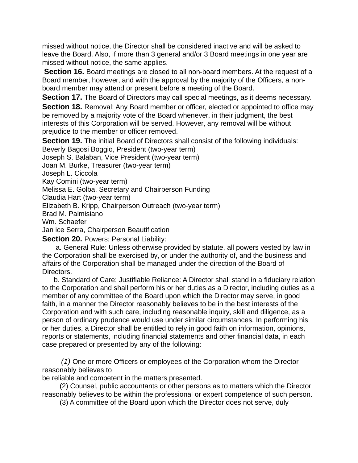missed without notice, the Director shall be considered inactive and will be asked to leave the Board. Also, if more than 3 general and/or 3 Board meetings in one year are missed without notice, the same applies.

**Section 16.** Board meetings are closed to all non-board members. At the request of a Board member, however, and with the approval by the majority of the Officers, a nonboard member may attend or present before a meeting of the Board.

**Section 17.** The Board of Directors may call special meetings, as it deems necessary.

**Section 18.** Removal: Any Board member or officer, elected or appointed to office may be removed by a majority vote of the Board whenever, in their judgment, the best interests of this Corporation will be served. However, any removal will be without prejudice to the member or officer removed.

**Section 19.** The initial Board of Directors shall consist of the following individuals:

Beverly Bagosi Boggio, President (two-year term) Joseph S. Balaban, Vice President (two-year term) Joan M. Burke, Treasurer (two-year term) Joseph L. Ciccola Kay Comini (two-year term) Melissa E. Golba, Secretary and Chairperson Funding Claudia Hart (two-year term) Elizabeth B. Kripp, Chairperson Outreach (two-year term) Brad M. Palmisiano Wm. Schaefer Jan ice Serra, Chairperson Beautification

**Section 20. Powers; Personal Liability:** 

 a. General Rule: Unless otherwise provided by statute, all powers vested by law in the Corporation shall be exercised by, or under the authority of, and the business and affairs of the Corporation shall be managed under the direction of the Board of Directors.

 b. Standard of Care; Justifiable Reliance: A Director shall stand in a fiduciary relation to the Corporation and shall perform his or her duties as a Director, including duties as a member of any committee of the Board upon which the Director may serve, in good faith, in a manner the Director reasonably believes to be in the best interests of the Corporation and with such care, including reasonable inquiry, skill and diligence, as a person of ordinary prudence would use under similar circumstances. In performing his or her duties, a Director shall be entitled to rely in good faith on information, opinions, reports or statements, including financial statements and other financial data, in each case prepared or presented by any of the following:

 (1) One or more Officers or employees of the Corporation whom the Director reasonably believes to

be reliable and competent in the matters presented.

 (2) Counsel, public accountants or other persons as to matters which the Director reasonably believes to be within the professional or expert competence of such person.

(3) A committee of the Board upon which the Director does not serve, duly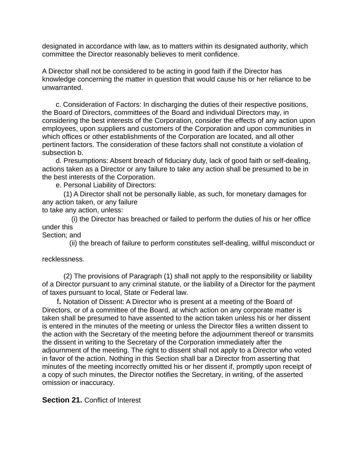designated in accordance with law, as to matters within its designated authority, which committee the Director reasonably believes to merit confidence.

A Director shall not be considered to be acting in good faith if the Director has knowledge concerning the matter in question that would cause his or her reliance to be unwarranted.

 c. Consideration of Factors: In discharging the duties of their respective positions, the Board of Directors, committees of the Board and individual Directors may, in considering the best interests of the Corporation, consider the effects of any action upon employees, upon suppliers and customers of the Corporation and upon communities in which offices or other establishments of the Corporation are located, and all other pertinent factors. The consideration of these factors shall not constitute a violation of subsection b.

 d. Presumptions: Absent breach of fiduciary duty, lack of good faith or self-dealing, actions taken as a Director or any failure to take any action shall be presumed to be in the best interests of the Corporation.

e. Personal Liability of Directors:

 (1) A Director shall not be personally liable, as such, for monetary damages for any action taken, or any failure

to take any action, unless:

 (i) the Director has breached or failed to perform the duties of his or her office under this

Section; and

(ii) the breach of failure to perform constitutes self-dealing, willful misconduct or

recklessness.

 (2) The provisions of Paragraph (1) shall not apply to the responsibility or liability of a Director pursuant to any criminal statute, or the liability of a Director for the payment of taxes pursuant to local, State or Federal law.

 f**.** Notation of Dissent: A Director who is present at a meeting of the Board of Directors, or of a committee of the Board, at which action on any corporate matter is taken shall be presumed to have assented to the action taken unless his or her dissent is entered in the minutes of the meeting or unless the Director files a written dissent to the action with the Secretary of the meeting before the adjournment thereof or transmits the dissent in writing to the Secretary of the Corporation immediately after the adjournment of the meeting. The right to dissent shall not apply to a Director who voted in favor of the action. Nothing in this Section shall bar a Director from asserting that minutes of the meeting incorrectly omitted his or her dissent if, promptly upon receipt of a copy of such minutes, the Director notifies the Secretary, in writing, of the asserted omission or inaccuracy.

### **Section 21. Conflict of Interest**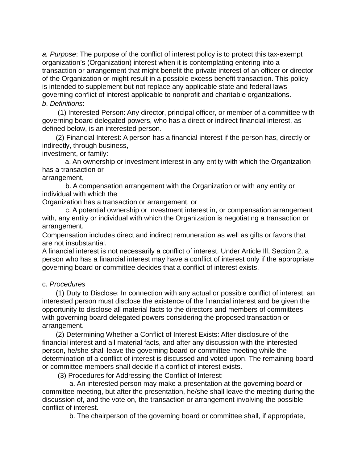a. Purpose: The purpose of the conflict of interest policy is to protect this tax-exempt organization's (Organization) interest when it is contemplating entering into a transaction or arrangement that might benefit the private interest of an officer or director of the Organization or might result in a possible excess benefit transaction. This policy is intended to supplement but not replace any applicable state and federal laws governing conflict of interest applicable to nonprofit and charitable organizations. b. Definitions:

 (1) Interested Person: Any director, principal officer, or member of a committee with governing board delegated powers, who has a direct or indirect financial interest, as defined below, is an interested person.

 (2) Financial Interest: A person has a financial interest if the person has, directly or indirectly, through business,

investment, or family:

 a. An ownership or investment interest in any entity with which the Organization has a transaction or

arrangement,

 b. A compensation arrangement with the Organization or with any entity or individual with which the

Organization has a transaction or arrangement, or

 c. A potential ownership or investment interest in, or compensation arrangement with, any entity or individual with which the Organization is negotiating a transaction or arrangement.

Compensation includes direct and indirect remuneration as well as gifts or favors that are not insubstantial.

A financial interest is not necessarily a conflict of interest. Under Article Ill, Section 2, a person who has a financial interest may have a conflict of interest only if the appropriate governing board or committee decides that a conflict of interest exists.

#### c. Procedures

 (1) Duty to Disclose: In connection with any actual or possible conflict of interest, an interested person must disclose the existence of the financial interest and be given the opportunity to disclose all material facts to the directors and members of committees with governing board delegated powers considering the proposed transaction or arrangement.

 (2) Determining Whether a Conflict of Interest Exists: After disclosure of the financial interest and all material facts, and after any discussion with the interested person, he/she shall leave the governing board or committee meeting while the determination of a conflict of interest is discussed and voted upon. The remaining board or committee members shall decide if a conflict of interest exists.

(3) Procedures for Addressing the Conflict of Interest:

 a. An interested person may make a presentation at the governing board or committee meeting, but after the presentation, he/she shall leave the meeting during the discussion of, and the vote on, the transaction or arrangement involving the possible conflict of interest.

b. The chairperson of the governing board or committee shall, if appropriate,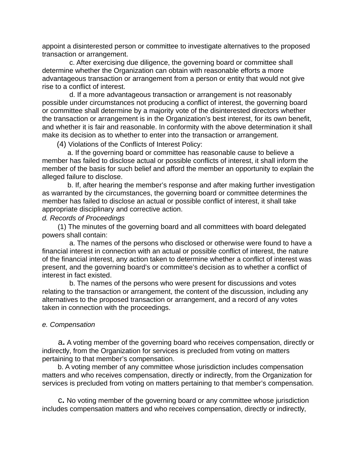appoint a disinterested person or committee to investigate alternatives to the proposed transaction or arrangement.

 c. After exercising due diligence, the governing board or committee shall determine whether the Organization can obtain with reasonable efforts a more advantageous transaction or arrangement from a person or entity that would not give rise to a conflict of interest.

 d. If a more advantageous transaction or arrangement is not reasonably possible under circumstances not producing a conflict of interest, the governing board or committee shall determine by a majority vote of the disinterested directors whether the transaction or arrangement is in the Organization's best interest, for its own benefit, and whether it is fair and reasonable. In conformity with the above determination it shall make its decision as to whether to enter into the transaction or arrangement.

(4) Violations of the Conflicts of Interest Policy:

 a. If the governing board or committee has reasonable cause to believe a member has failed to disclose actual or possible conflicts of interest, it shall inform the member of the basis for such belief and afford the member an opportunity to explain the alleged failure to disclose.

 b. If, after hearing the member's response and after making further investigation as warranted by the circumstances, the governing board or committee determines the member has failed to disclose an actual or possible conflict of interest, it shall take appropriate disciplinary and corrective action.

#### d. Records of Proceedings

 (1) The minutes of the governing board and all committees with board delegated powers shall contain:

 a. The names of the persons who disclosed or otherwise were found to have a financial interest in connection with an actual or possible conflict of interest, the nature of the financial interest, any action taken to determine whether a conflict of interest was present, and the governing board's or committee's decision as to whether a conflict of interest in fact existed.

 b. The names of the persons who were present for discussions and votes relating to the transaction or arrangement, the content of the discussion, including any alternatives to the proposed transaction or arrangement, and a record of any votes taken in connection with the proceedings.

#### e. Compensation

 a**.** A voting member of the governing board who receives compensation, directly or indirectly, from the Organization for services is precluded from voting on matters pertaining to that member's compensation.

 b. A voting member of any committee whose jurisdiction includes compensation matters and who receives compensation, directly or indirectly, from the Organization for services is precluded from voting on matters pertaining to that member's compensation.

 c**.** No voting member of the governing board or any committee whose jurisdiction includes compensation matters and who receives compensation, directly or indirectly,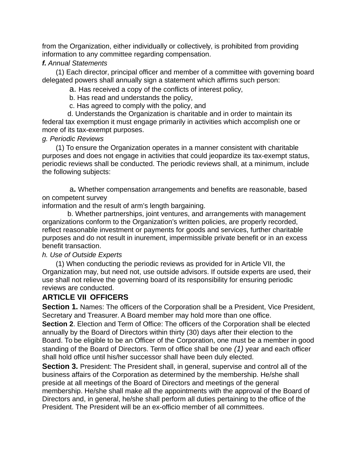from the Organization, either individually or collectively, is prohibited from providing information to any committee regarding compensation.

### **f.** Annual Statements

 (1) Each director, principal officer and member of a committee with governing board delegated powers shall annually sign a statement which affirms such person:

a. Has received a copy of the conflicts of interest policy,

b. Has read and understands the policy,

c. Has agreed to comply with the policy, and

 d. Understands the Organization is charitable and in order to maintain its federal tax exemption it must engage primarily in activities which accomplish one or more of its tax-exempt purposes.

### g. Periodic Reviews

 (1) To ensure the Organization operates in a manner consistent with charitable purposes and does not engage in activities that could jeopardize its tax-exempt status, periodic reviews shall be conducted. The periodic reviews shall, at a minimum, include the following subjects:

 a**.** Whether compensation arrangements and benefits are reasonable, based on competent survey

information and the result of arm's length bargaining.

 b. Whether partnerships, joint ventures, and arrangements with management organizations conform to the Organization's written policies, are properly recorded, reflect reasonable investment or payments for goods and services, further charitable purposes and do not result in inurement, impermissible private benefit or in an excess benefit transaction.

## h. Use of Outside Experts

 (1) When conducting the periodic reviews as provided for in Article VII, the Organization may, but need not, use outside advisors. If outside experts are used, their use shall not relieve the governing board of its responsibility for ensuring periodic reviews are conducted.

## **ARTICLE VII** - **OFFICERS**

**Section 1.** Names: The officers of the Corporation shall be a President, Vice President, Secretary and Treasurer. A Board member may hold more than one office.

**Section 2.** Election and Term of Office: The officers of the Corporation shall be elected annually by the Board of Directors within thirty (30) days after their election to the Board. To be eligible to be an Officer of the Corporation, one must be a member in good standing of the Board of Directors. Term of office shall be one (1) year and each officer shall hold office until his/her successor shall have been duly elected.

**Section 3.** President: The President shall, in general, supervise and control all of the business affairs of the Corporation as determined by the membership. He/she shall preside at all meetings of the Board of Directors and meetings of the general membership. He/she shall make all the appointments with the approval of the Board of Directors and, in general, he/she shall perform all duties pertaining to the office of the President. The President will be an ex-officio member of all committees.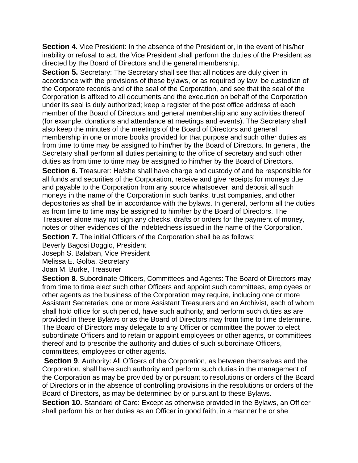**Section 4.** Vice President: In the absence of the President or, in the event of his/her inability or refusal to act, the Vice President shall perform the duties of the President as directed by the Board of Directors and the general membership.

**Section 5.** Secretary: The Secretary shall see that all notices are duly given in accordance with the provisions of these bylaws, or as required by law; be custodian of the Corporate records and of the seal of the Corporation, and see that the seal of the Corporation is affixed to all documents and the execution on behalf of the Corporation under its seal is duly authorized; keep a register of the post office address of each member of the Board of Directors and general membership and any activities thereof (for example, donations and attendance at meetings and events). The Secretary shall also keep the minutes of the meetings of the Board of Directors and general membership in one or more books provided for that purpose and such other duties as from time to time may be assigned to him/her by the Board of Directors. In general, the Secretary shall perform all duties pertaining to the office of secretary and such other duties as from time to time may be assigned to him/her by the Board of Directors.

**Section 6.** Treasurer: He/she shall have charge and custody of and be responsible for all funds and securities of the Corporation, receive and give receipts for moneys due and payable to the Corporation from any source whatsoever, and deposit all such moneys in the name of the Corporation in such banks, trust companies, and other depositories as shall be in accordance with the bylaws. In general, perform all the duties as from time to time may be assigned to him/her by the Board of Directors. The Treasurer alone may not sign any checks, drafts or orders for the payment of money, notes or other evidences of the indebtedness issued in the name of the Corporation.

**Section 7.** The initial Officers of the Corporation shall be as follows:

Beverly Bagosi Boggio, President Joseph S. Balaban, Vice President Melissa E. Golba, Secretary Joan M. Burke, Treasurer

**Section 8.** Subordinate Officers, Committees and Agents: The Board of Directors may from time to time elect such other Officers and appoint such committees, employees or other agents as the business of the Corporation may require, including one or more Assistant Secretaries, one or more Assistant Treasurers and an Archivist, each of whom shall hold office for such period, have such authority, and perform such duties as are provided in these Bylaws or as the Board of Directors may from time to time determine. The Board of Directors may delegate to any Officer or committee the power to elect subordinate Officers and to retain or appoint employees or other agents, or committees thereof and to prescribe the authority and duties of such subordinate Officers, committees, employees or other agents.

**Section 9.** Authority: All Officers of the Corporation, as between themselves and the Corporation, shall have such authority and perform such duties in the management of the Corporation as may be provided by or pursuant to resolutions or orders of the Board of Directors or in the absence of controlling provisions in the resolutions or orders of the Board of Directors, as may be determined by or pursuant to these Bylaws.

**Section 10.** Standard of Care: Except as otherwise provided in the Bylaws, an Officer shall perform his or her duties as an Officer in good faith, in a manner he or she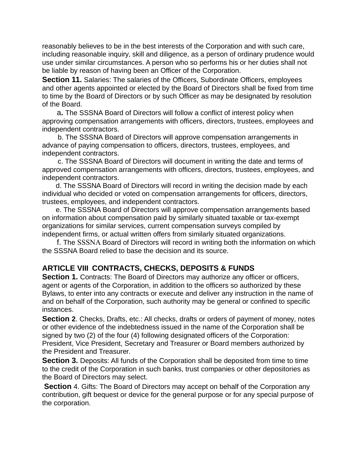reasonably believes to be in the best interests of the Corporation and with such care, including reasonable inquiry, skill and diligence, as a person of ordinary prudence would use under similar circumstances. A person who so performs his or her duties shall not be liable by reason of having been an Officer of the Corporation.

**Section 11.** Salaries: The salaries of the Officers, Subordinate Officers, employees and other agents appointed or elected by the Board of Directors shall be fixed from time to time by the Board of Directors or by such Officer as may be designated by resolution of the Board.

 a**.** The SSSNA Board of Directors will follow a conflict of interest policy when approving compensation arrangements with officers, directors, trustees, employees and independent contractors.

 b. The SSSNA Board of Directors will approve compensation arrangements in advance of paying compensation to officers, directors, trustees, employees, and independent contractors.

 c. The SSSNA Board of Directors will document in writing the date and terms of approved compensation arrangements with officers, directors, trustees, employees, and independent contractors.

 d. The SSSNA Board of Directors will record in writing the decision made by each individual who decided or voted on compensation arrangements for officers, directors, trustees, employees, and independent contractors.

 e. The SSSNA Board of Directors will approve compensation arrangements based on information about compensation paid by similarly situated taxable or tax-exempt organizations for similar services, current compensation surveys compiled by independent firms, or actual written offers from similarly situated organizations.

 f. The SSSNA Board of Directors will record in writing both the information on which the SSSNA Board relied to base the decision and its source.

## **ARTICLE VIII** - **CONTRACTS, CHECKS, DEPOSITS & FUNDS**

**Section 1.** Contracts: The Board of Directors may authorize any officer or officers, agent or agents of the Corporation, in addition to the officers so authorized by these Bylaws, to enter into any contracts or execute and deliver any instruction in the name of and on behalf of the Corporation, such authority may be general or confined to specific instances.

**Section 2.** Checks, Drafts, etc.: All checks, drafts or orders of payment of money, notes or other evidence of the indebtedness issued in the name of the Corporation shall be signed by two (2) of the four (4) following designated officers of the Corporation: President, Vice President, Secretary and Treasurer or Board members authorized by the President and Treasurer.

**Section 3.** Deposits: All funds of the Corporation shall be deposited from time to time to the credit of the Corporation in such banks, trust companies or other depositories as the Board of Directors may select.

**Section** 4. Gifts: The Board of Directors may accept on behalf of the Corporation any contribution, gift bequest or device for the general purpose or for any special purpose of the corporation.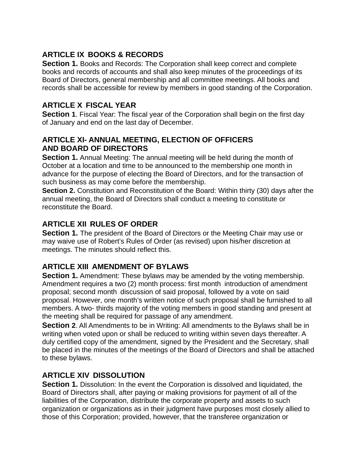# **ARTICLE IX** - **BOOKS & RECORDS**

**Section 1.** Books and Records: The Corporation shall keep correct and complete books and records of accounts and shall also keep minutes of the proceedings of its Board of Directors, general membership and all committee meetings. All books and records shall be accessible for review by members in good standing of the Corporation.

# **ARTICLE X FISCAL YEAR**

**Section 1**. Fiscal Year: The fiscal year of the Corporation shall begin on the first day of January and end on the last day of December.

## **ARTICLE XI- ANNUAL MEETING, ELECTION OF OFFICERS AND BOARD OF DIRECTORS**

**Section 1.** Annual Meeting: The annual meeting will be held during the month of October at a location and time to be announced to the membership one month in advance for the purpose of electing the Board of Directors, and for the transaction of such business as may come before the membership.

**Section 2.** Constitution and Reconstitution of the Board: Within thirty (30) days after the annual meeting, the Board of Directors shall conduct a meeting to constitute or reconstitute the Board.

# **ARTICLE XII RULES OF ORDER**

**Section 1.** The president of the Board of Directors or the Meeting Chair may use or may waive use of Robert's Rules of Order (as revised) upon his/her discretion at meetings. The minutes should reflect this.

# **ARTICLE XIII AMENDMENT OF BYLAWS**

**Section 1.** Amendment: These bylaws may be amended by the voting membership. Amendment requires a two (2) month process: first month introduction of amendment proposal; second month discussion of said proposal, followed by a vote on said proposal. However, one month's written notice of such proposal shall be furnished to all members. A two- thirds majority of the voting members in good standing and present at the meeting shall be required for passage of any amendment.

**Section 2**. All Amendments to be in Writing: All amendments to the Bylaws shall be in writing when voted upon or shall be reduced to writing within seven days thereafter. A duly certified copy of the amendment, signed by the President and the Secretary, shall be placed in the minutes of the meetings of the Board of Directors and shall be attached to these bylaws.

# **ARTICLE XIV** - **DISSOLUTION**

**Section 1.** Dissolution: In the event the Corporation is dissolved and liquidated, the Board of Directors shall, after paying or making provisions for payment of all of the liabilities of the Corporation, distribute the corporate property and assets to such organization or organizations as in their judgment have purposes most closely allied to those of this Corporation; provided, however, that the transferee organization or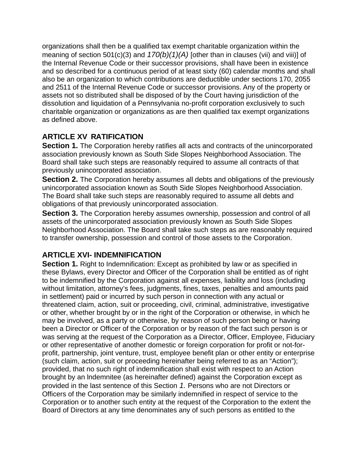organizations shall then be a qualified tax exempt charitable organization within the meaning of section 501(c)(3) and  $170(b)(1)(A)$  [other than in clauses (vii) and viii)] of the Internal Revenue Code or their successor provisions, shall have been in existence and so described for a continuous period of at least sixty (60) calendar months and shall also be an organization to which contributions are deductible under sections 170, 2055 and 2511 of the Internal Revenue Code or successor provisions. Any of the property or assets not so distributed shall be disposed of by the Court having jurisdiction of the dissolution and liquidation of a Pennsylvania no-profit corporation exclusively to such charitable organization or organizations as are then qualified tax exempt organizations as defined above.

# **ARTICLE XV RATIFICATION**

**Section 1.** The Corporation hereby ratifies all acts and contracts of the unincorporated association previously known as South Side Slopes Neighborhood Association. The Board shall take such steps are reasonably required to assume all contracts of that previously unincorporated association.

**Section 2.** The Corporation hereby assumes all debts and obligations of the previously unincorporated association known as South Side Slopes Neighborhood Association. The Board shall take such steps are reasonably required to assume all debts and obligations of that previously unincorporated association.

**Section 3.** The Corporation hereby assumes ownership, possession and control of all assets of the unincorporated association previously known as South Side Slopes Neighborhood Association. The Board shall take such steps as are reasonably required to transfer ownership, possession and control of those assets to the Corporation.

# **ARTICLE XVI- INDEMNIFICATION**

**Section 1.** Right to Indemnification: Except as prohibited by law or as specified in these Bylaws, every Director and Officer of the Corporation shall be entitled as of right to be indemnified by the Corporation against all expenses, liability and loss (including without limitation, attorney's fees, judgments, fines, taxes, penalties and amounts paid in settlement) paid or incurred by such person in connection with any actual or threatened claim, action, suit or proceeding, civil, criminal, administrative, investigative or other, whether brought by or in the right of the Corporation or otherwise, in which he may be involved, as a party or otherwise, by reason of such person being or having been a Director or Officer of the Corporation or by reason of the fact such person is or was serving at the request of the Corporation as a Director, Officer, Employee, Fiduciary or other representative of another domestic or foreign corporation for profit or not-forprofit, partnership, joint venture, trust, employee benefit plan or other entity or enterprise (such claim, action, suit or proceeding hereinafter being referred to as an "Action"); provided, that no such right of indemnification shall exist with respect to an Action brought by an lndemnitee (as hereinafter defined) against the Corporation except as provided in the last sentence of this Section 1. Persons who are not Directors or Officers of the Corporation may be similarly indemnified in respect of service to the Corporation or to another such entity at the request of the Corporation to the extent the Board of Directors at any time denominates any of such persons as entitled to the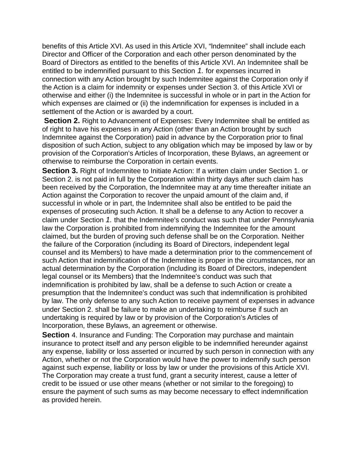benefits of this Article XVI. As used in this Article XVI, "lndemnitee" shall include each Director and Officer of the Corporation and each other person denominated by the Board of Directors as entitled to the benefits of this Article XVI. An Indemnitee shall be entitled to be indemnified pursuant to this Section 1. for expenses incurred in connection with any Action brought by such Indemnitee against the Corporation only if the Action is a claim for indemnity or expenses under Section 3. of this Article XVI or otherwise and either (i) the lndemnitee is successful in whole or in part in the Action for which expenses are claimed or (ii) the indemnification for expenses is included in a settlement of the Action or is awarded by a court.

**Section 2.** Right to Advancement of Expenses: Every Indemnitee shall be entitled as of right to have his expenses in any Action (other than an Action brought by such Indemnitee against the Corporation) paid in advance by the Corporation prior to final disposition of such Action, subject to any obligation which may be imposed by law or by provision of the Corporation's Articles of Incorporation, these Bylaws, an agreement or otherwise to reimburse the Corporation in certain events.

**Section 3.** Right of Indemnitee to Initiate Action: If a written claim under Section 1. or Section 2. is not paid in full by the Corporation within thirty days after such claim has been received by the Corporation, the lndemnitee may at any time thereafter initiate an Action against the Corporation to recover the unpaid amount of the claim and, if successful in whole or in part, the lndemnitee shall also be entitled to be paid the expenses of prosecuting such Action. It shall be a defense to any Action to recover a claim under Section 1. that the Indemnitee's conduct was such that under Pennsylvania law the Corporation is prohibited from indemnifying the Indemnitee for the amount claimed, but the burden of proving such defense shall be on the Corporation. Neither the failure of the Corporation (including its Board of Directors, independent legal counsel and its Members) to have made a determination prior to the commencement of such Action that indemnification of the Indemnitee is proper in the circumstances, nor an actual determination by the Corporation (including its Board of Directors, independent legal counsel or its Members) that the Indemnitee's conduct was such that indemnification is prohibited by law, shall be a defense to such Action or create a presumption that the Indemnitee's conduct was such that indemnification is prohibited by law. The only defense to any such Action to receive payment of expenses in advance under Section 2. shall be failure to make an undertaking to reimburse if such an undertaking is required by law or by provision of the Corporation's Articles of Incorporation, these Bylaws, an agreement or otherwise.

**Section** 4. Insurance and Funding: The Corporation may purchase and maintain insurance to protect itself and any person eligible to be indemnified hereunder against any expense, liability or loss asserted or incurred by such person in connection with any Action, whether or not the Corporation would have the power to indemnify such person against such expense, liability or loss by law or under the provisions of this Article XVI. The Corporation may create a trust fund, grant a security interest, cause a letter of credit to be issued or use other means (whether or not similar to the foregoing) to ensure the payment of such sums as may become necessary to effect indemnification as provided herein.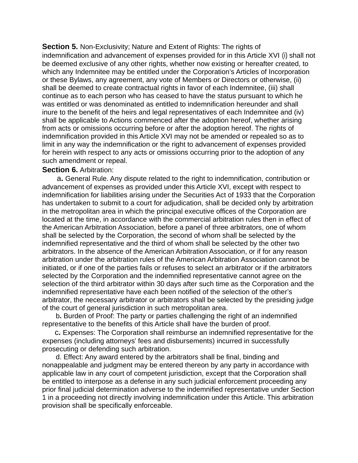**Section 5.** Non-Exclusivity; Nature and Extent of Rights: The rights of indemnification and advancement of expenses provided for in this Article XVI (i) shall not be deemed exclusive of any other rights, whether now existing or hereafter created, to which any Indemnitee may be entitled under the Corporation's Articles of Incorporation or these Bylaws, any agreement, any vote of Members or Directors or otherwise, (ii) shall be deemed to create contractual rights in favor of each Indemnitee, (iii) shall continue as to each person who has ceased to have the status pursuant to which he was entitled or was denominated as entitled to indemnification hereunder and shall inure to the benefit of the heirs and legal representatives of each Indemnitee and (iv) shall be applicable to Actions commenced after the adoption hereof, whether arising from acts or omissions occurring before or after the adoption hereof. The rights of indemnification provided in this Article XVI may not be amended or repealed so as to limit in any way the indemnification or the right to advancement of expenses provided for herein with respect to any acts or omissions occurring prior to the adoption of any such amendment or repeal.

#### **Section 6. Arbitration:**

a**.** General Rule. Any dispute related to the right to indemnification, contribution or advancement of expenses as provided under this Article XVI, except with respect to indemnification for liabilities arising under the Securities Act of 1933 that the Corporation has undertaken to submit to a court for adjudication, shall be decided only by arbitration in the metropolitan area in which the principal executive offices of the Corporation are located at the time, in accordance with the commercial arbitration rules then in effect of the American Arbitration Association, before a panel of three arbitrators, one of whom shall be selected by the Corporation, the second of whom shall be selected by the indemnified representative and the third of whom shall be selected by the other two arbitrators. In the absence of the American Arbitration Association, or if for any reason arbitration under the arbitration rules of the American Arbitration Association cannot be initiated, or if one of the parties fails or refuses to select an arbitrator or if the arbitrators selected by the Corporation and the indemnified representative cannot agree on the selection of the third arbitrator within 30 days after such time as the Corporation and the indemnified representative have each been notified of the selection of the other's arbitrator, the necessary arbitrator or arbitrators shall be selected by the presiding judge of the court of general jurisdiction in such metropolitan area.

b**.** Burden of Proof: The party or parties challenging the right of an indemnified representative to the benefits of this Article shall have the burden of proof.

c**.** Expenses: The Corporation shall reimburse an indemnified representative for the expenses (including attorneys' fees and disbursements) incurred in successfully prosecuting or defending such arbitration.

d. Effect: Any award entered by the arbitrators shall be final, binding and nonappealable and judgment may be entered thereon by any party in accordance with applicable law in any court of competent jurisdiction, except that the Corporation shall be entitled to interpose as a defense in any such judicial enforcement proceeding any prior final judicial determination adverse to the indemnified representative under Section 1 in a proceeding not directly involving indemnification under this Article. This arbitration provision shall be specifically enforceable.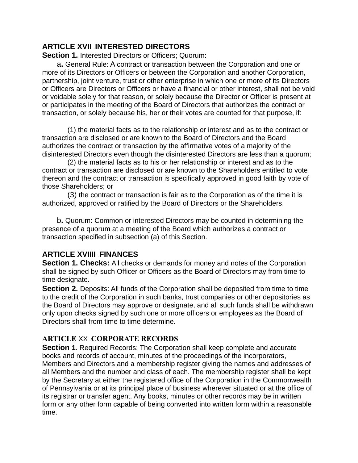## **ARTICLE XVII INTERESTED DIRECTORS**

**Section 1.** Interested Directors or Officers: Quorum:

a**.** General Rule: A contract or transaction between the Corporation and one or more of its Directors or Officers or between the Corporation and another Corporation, partnership, joint venture, trust or other enterprise in which one or more of its Directors or Officers are Directors or Officers or have a financial or other interest, shall not be void or voidable solely for that reason, or solely because the Director or Officer is present at or participates in the meeting of the Board of Directors that authorizes the contract or transaction, or solely because his, her or their votes are counted for that purpose, if:

 (1) the material facts as to the relationship or interest and as to the contract or transaction are disclosed or are known to the Board of Directors and the Board authorizes the contract or transaction by the affirmative votes of a majority of the disinterested Directors even though the disinterested Directors are less than a quorum;

 (2) the material facts as to his or her relationship or interest and as to the contract or transaction are disclosed or are known to the Shareholders entitled to vote thereon and the contract or transaction is specifically approved in good faith by vote of those Shareholders; or

 (3) the contract or transaction is fair as to the Corporation as of the time it is authorized, approved or ratified by the Board of Directors or the Shareholders.

b**.** Quorum: Common or interested Directors may be counted in determining the presence of a quorum at a meeting of the Board which authorizes a contract or transaction specified in subsection (a) of this Section.

# **ARTICLE XVIIII FINANCES**

**Section 1. Checks:** All checks or demands for money and notes of the Corporation shall be signed by such Officer or Officers as the Board of Directors may from time to time designate.

**Section 2.** Deposits: All funds of the Corporation shall be deposited from time to time to the credit of the Corporation in such banks, trust companies or other depositories as the Board of Directors may approve or designate, and all such funds shall be withdrawn only upon checks signed by such one or more officers or employees as the Board of Directors shall from time to time determine.

# **ARTICLE** XX - **CORPORATE RECORDS**

**Section 1.** Required Records: The Corporation shall keep complete and accurate books and records of account, minutes of the proceedings of the incorporators, Members and Directors and a membership register giving the names and addresses of all Members and the number and class of each. The membership register shall be kept by the Secretary at either the registered office of the Corporation in the Commonwealth of Pennsylvania or at its principal place of business wherever situated or at the office of its registrar or transfer agent. Any books, minutes or other records may be in written form or any other form capable of being converted into written form within a reasonable time.